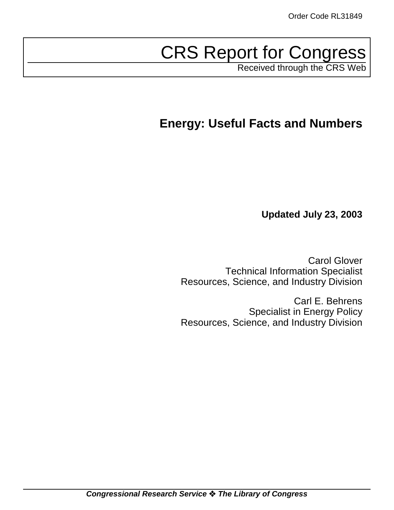# CRS Report for Congress

Received through the CRS Web

## **Energy: Useful Facts and Numbers**

**Updated July 23, 2003**

Carol Glover Technical Information Specialist Resources, Science, and Industry Division

Carl E. Behrens Specialist in Energy Policy Resources, Science, and Industry Division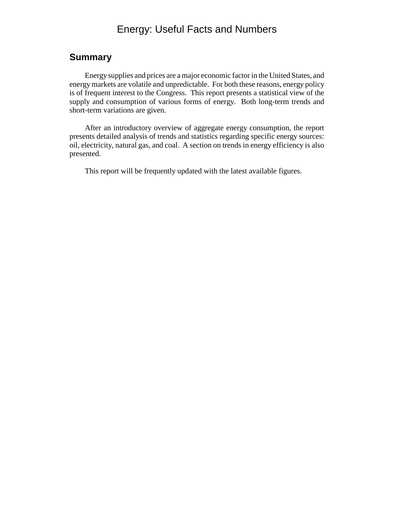## Energy: Useful Facts and Numbers

### **Summary**

Energy supplies and prices are a major economic factor in the United States, and energy markets are volatile and unpredictable. For both these reasons, energy policy is of frequent interest to the Congress. This report presents a statistical view of the supply and consumption of various forms of energy. Both long-term trends and short-term variations are given.

After an introductory overview of aggregate energy consumption, the report presents detailed analysis of trends and statistics regarding specific energy sources: oil, electricity, natural gas, and coal. A section on trends in energy efficiency is also presented.

This report will be frequently updated with the latest available figures.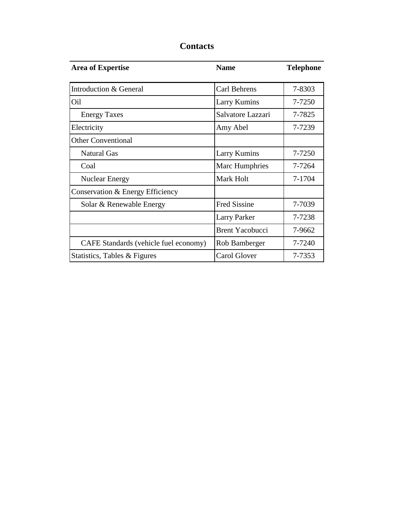| <b>Area of Expertise</b>              | <b>Name</b>            | <b>Telephone</b> |
|---------------------------------------|------------------------|------------------|
| Introduction & General                | Carl Behrens           | 7-8303           |
| Oil                                   | <b>Larry Kumins</b>    | 7-7250           |
| <b>Energy Taxes</b>                   | Salvatore Lazzari      | 7-7825           |
| Electricity                           | Amy Abel               | 7-7239           |
| <b>Other Conventional</b>             |                        |                  |
| <b>Natural Gas</b>                    | <b>Larry Kumins</b>    | 7-7250           |
| Coal                                  | Marc Humphries         | 7-7264           |
| <b>Nuclear Energy</b>                 | Mark Holt              | 7-1704           |
| Conservation & Energy Efficiency      |                        |                  |
| Solar & Renewable Energy              | <b>Fred Sissine</b>    | 7-7039           |
|                                       | <b>Larry Parker</b>    | 7-7238           |
|                                       | <b>Brent Yacobucci</b> | 7-9662           |
| CAFE Standards (vehicle fuel economy) | Rob Bamberger          | 7-7240           |
| Statistics, Tables & Figures          | Carol Glover           | 7-7353           |

## **Contacts**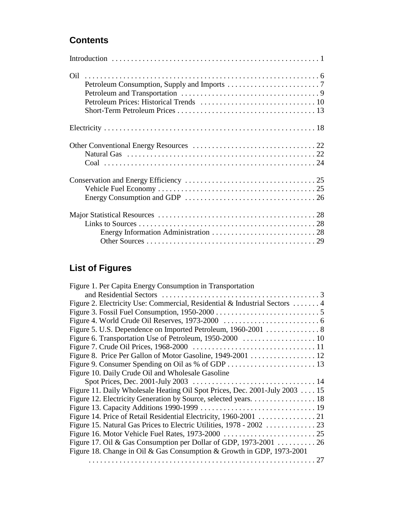## **Contents**

## **List of Figures**

| Figure 1. Per Capita Energy Consumption in Transportation                   |  |
|-----------------------------------------------------------------------------|--|
|                                                                             |  |
| Figure 2. Electricity Use: Commercial, Residential & Industrial Sectors  4  |  |
|                                                                             |  |
|                                                                             |  |
| Figure 5. U.S. Dependence on Imported Petroleum, 1960-2001 8                |  |
|                                                                             |  |
|                                                                             |  |
|                                                                             |  |
|                                                                             |  |
| Figure 10. Daily Crude Oil and Wholesale Gasoline                           |  |
|                                                                             |  |
| Figure 11. Daily Wholesale Heating Oil Spot Prices, Dec. 2001-July 2003  15 |  |
|                                                                             |  |
|                                                                             |  |
| Figure 14. Price of Retail Residential Electricity, 1960-2001 21            |  |
|                                                                             |  |
|                                                                             |  |
| Figure 17. Oil & Gas Consumption per Dollar of GDP, 1973-2001 26            |  |
| Figure 18. Change in Oil & Gas Consumption & Growth in GDP, 1973-2001       |  |
|                                                                             |  |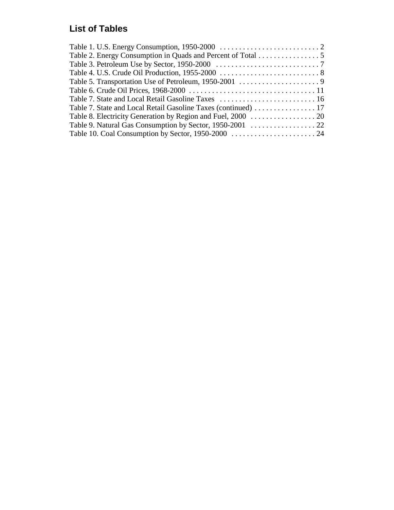## **List of Tables**

| Table 2. Energy Consumption in Quads and Percent of Total 5 |  |
|-------------------------------------------------------------|--|
|                                                             |  |
|                                                             |  |
|                                                             |  |
|                                                             |  |
|                                                             |  |
|                                                             |  |
|                                                             |  |
|                                                             |  |
|                                                             |  |
|                                                             |  |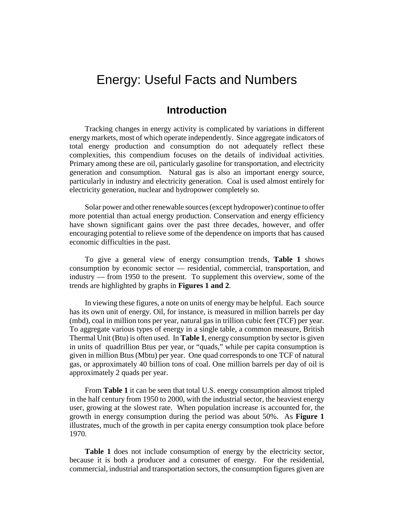## Energy: Useful Facts and Numbers

## **Introduction**

Tracking changes in energy activity is complicated by variations in different energy markets, most of which operate independently. Since aggregate indicators of total energy production and consumption do not adequately reflect these complexities, this compendium focuses on the details of individual activities. Primary among these are oil, particularly gasoline for transportation, and electricity generation and consumption. Natural gas is also an important energy source, particularly in industry and electricity generation. Coal is used almost entirely for electricity generation, nuclear and hydropower completely so.

Solar power and other renewable sources (except hydropower) continue to offer more potential than actual energy production. Conservation and energy efficiency have shown significant gains over the past three decades, however, and offer encouraging potential to relieve some of the dependence on imports that has caused economic difficulties in the past.

To give a general view of energy consumption trends, **Table 1** shows consumption by economic sector — residential, commercial, transportation, and industry — from 1950 to the present. To supplement this overview, some of the trends are highlighted by graphs in **Figures 1 and 2**.

In viewing these figures, a note on units of energy may be helpful. Each source has its own unit of energy. Oil, for instance, is measured in million barrels per day (mbd), coal in million tons per year, natural gas in trillion cubic feet (TCF) per year. To aggregate various types of energy in a single table, a common measure, British Thermal Unit (Btu) is often used. In **Table 1**, energy consumption by sector is given in units of quadrillion Btus per year, or "quads," while per capita consumption is given in million Btus (Mbtu) per year. One quad corresponds to one TCF of natural gas, or approximately 40 billion tons of coal. One million barrels per day of oil is approximately 2 quads per year.

From **Table 1** it can be seen that total U.S. energy consumption almost tripled in the half century from 1950 to 2000, with the industrial sector, the heaviest energy user, growing at the slowest rate. When population increase is accounted for, the growth in energy consumption during the period was about 50%. As **Figure 1** illustrates, much of the growth in per capita energy consumption took place before 1970.

**Table 1** does not include consumption of energy by the electricity sector, because it is both a producer and a consumer of energy. For the residential, commercial, industrial and transportation sectors, the consumption figures given are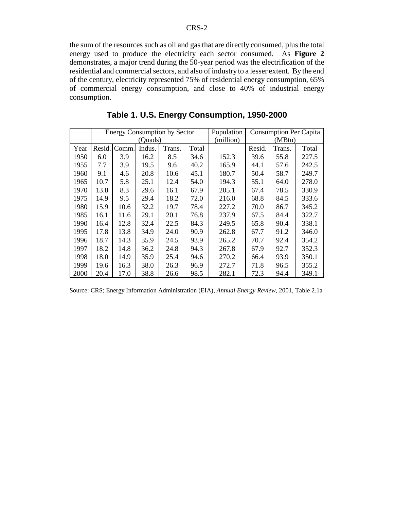the sum of the resources such as oil and gas that are directly consumed, plus the total energy used to produce the electricity each sector consumed. As **Figure 2** demonstrates, a major trend during the 50-year period was the electrification of the residential and commercial sectors, and also of industry to a lesser extent. By the end of the century, electricity represented 75% of residential energy consumption, 65% of commercial energy consumption, and close to 40% of industrial energy consumption.

|      |        |       |         | <b>Energy Consumption by Sector</b> |       | Population |        | <b>Consumption Per Capita</b> |       |  |
|------|--------|-------|---------|-------------------------------------|-------|------------|--------|-------------------------------|-------|--|
|      |        |       | (Quads) |                                     |       | (million)  | (MBtu) |                               |       |  |
| Year | Resid. | Comm. | Indus.  | Trans.                              | Total |            | Resid. | Trans.                        | Total |  |
| 1950 | 6.0    | 3.9   | 16.2    | 8.5                                 | 34.6  | 152.3      | 39.6   | 55.8                          | 227.5 |  |
| 1955 | 7.7    | 3.9   | 19.5    | 9.6                                 | 40.2  | 165.9      | 44.1   | 57.6                          | 242.5 |  |
| 1960 | 9.1    | 4.6   | 20.8    | 10.6                                | 45.1  | 180.7      | 50.4   | 58.7                          | 249.7 |  |
| 1965 | 10.7   | 5.8   | 25.1    | 12.4                                | 54.0  | 194.3      | 55.1   | 64.0                          | 278.0 |  |
| 1970 | 13.8   | 8.3   | 29.6    | 16.1                                | 67.9  | 205.1      | 67.4   | 78.5                          | 330.9 |  |
| 1975 | 14.9   | 9.5   | 29.4    | 18.2                                | 72.0  | 216.0      | 68.8   | 84.5                          | 333.6 |  |
| 1980 | 15.9   | 10.6  | 32.2    | 19.7                                | 78.4  | 227.2      | 70.0   | 86.7                          | 345.2 |  |
| 1985 | 16.1   | 11.6  | 29.1    | 20.1                                | 76.8  | 237.9      | 67.5   | 84.4                          | 322.7 |  |
| 1990 | 16.4   | 12.8  | 32.4    | 22.5                                | 84.3  | 249.5      | 65.8   | 90.4                          | 338.1 |  |
| 1995 | 17.8   | 13.8  | 34.9    | 24.0                                | 90.9  | 262.8      | 67.7   | 91.2                          | 346.0 |  |
| 1996 | 18.7   | 14.3  | 35.9    | 24.5                                | 93.9  | 265.2      | 70.7   | 92.4                          | 354.2 |  |
| 1997 | 18.2   | 14.8  | 36.2    | 24.8                                | 94.3  | 267.8      | 67.9   | 92.7                          | 352.3 |  |
| 1998 | 18.0   | 14.9  | 35.9    | 25.4                                | 94.6  | 270.2      | 66.4   | 93.9                          | 350.1 |  |
| 1999 | 19.6   | 16.3  | 38.0    | 26.3                                | 96.9  | 272.7      | 71.8   | 96.5                          | 355.2 |  |
| 2000 | 20.4   | 17.0  | 38.8    | 26.6                                | 98.5  | 282.1      | 72.3   | 94.4                          | 349.1 |  |

**Table 1. U.S. Energy Consumption, 1950-2000**

|  |  |  |  |  | Source: CRS; Energy Information Administration (EIA), Annual Energy Review, 2001, Table 2.1a |  |  |  |  |  |  |  |
|--|--|--|--|--|----------------------------------------------------------------------------------------------|--|--|--|--|--|--|--|
|--|--|--|--|--|----------------------------------------------------------------------------------------------|--|--|--|--|--|--|--|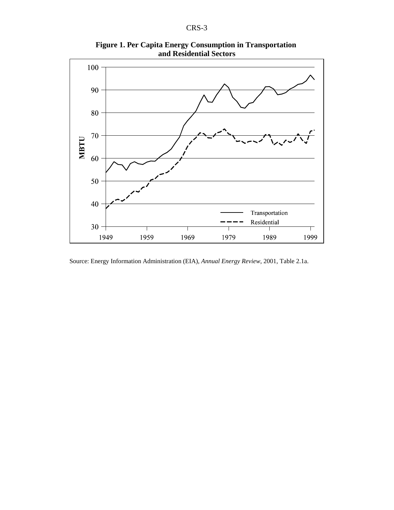

**Figure 1. Per Capita Energy Consumption in Transportation and Residential Sectors**

Source: Energy Information Administration (EIA), *Annual Energy Review*, 2001, Table 2.1a.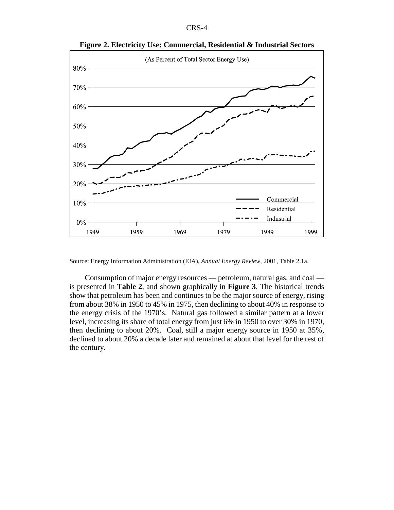| ٠<br>l |
|--------|
|--------|



**Figure 2. Electricity Use: Commercial, Residential & Industrial Sectors**

Source: Energy Information Administration (EIA), *Annual Energy Review*, 2001, Table 2.1a.

Consumption of major energy resources — petroleum, natural gas, and coal is presented in **Table 2**, and shown graphically in **Figure 3**. The historical trends show that petroleum has been and continues to be the major source of energy, rising from about 38% in 1950 to 45% in 1975, then declining to about 40% in response to the energy crisis of the 1970's. Natural gas followed a similar pattern at a lower level, increasing its share of total energy from just 6% in 1950 to over 30% in 1970, then declining to about 20%. Coal, still a major energy source in 1950 at 35%, declined to about 20% a decade later and remained at about that level for the rest of the century.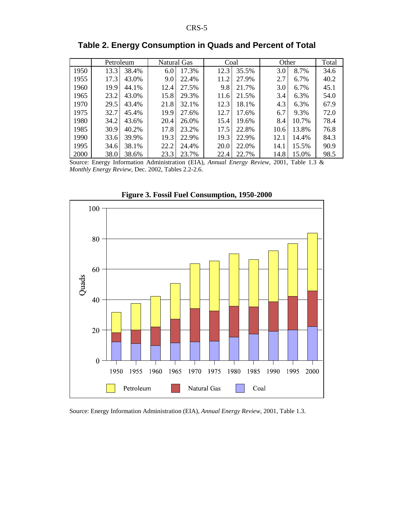|      | Petroleum     | Natural Gas   | Coal          | Other          | Total |
|------|---------------|---------------|---------------|----------------|-------|
| 1950 | 38.4%<br>13.3 | 6.0<br>17.3%  | 35.5%<br>12.3 | 3.0<br>8.7%    | 34.6  |
| 1955 | 17.3<br>43.0% | 22.4%<br>9.0  | 27.9%<br>11.2 | 2.7<br>$6.7\%$ | 40.2  |
| 1960 | 19.9<br>44.1% | 12.4<br>27.5% | 9.8<br>21.7%  | 3.0<br>6.7%    | 45.1  |
| 1965 | 23.2<br>43.0% | 15.8<br>29.3% | 21.5%<br>11.6 | 6.3%<br>3.4    | 54.0  |
| 1970 | 29.5<br>43.4% | 21.8<br>32.1% | 18.1%<br>12.3 | 4.3<br>6.3%    | 67.9  |
| 1975 | 32.7<br>45.4% | 19.9<br>27.6% | 12.7<br>17.6% | 6.7<br>9.3%    | 72.0  |
| 1980 | 34.2<br>43.6% | 20.4<br>26.0% | 15.4<br>19.6% | 8.4<br>10.7%   | 78.4  |
| 1985 | 30.9<br>40.2% | 17.8<br>23.2% | 22.8%<br>17.5 | 10.6<br>13.8%  | 76.8  |
| 1990 | 33.6<br>39.9% | 19.3<br>22.9% | 19.3<br>22.9% | 12.1<br>14.4%  | 84.3  |
| 1995 | 34.6<br>38.1% | 22.2<br>24.4% | 20.0<br>22.0% | 14.1<br>15.5%  | 90.9  |
| 2000 | 38.0<br>38.6% | 23.3<br>23.7% | 22.7%<br>22.4 | 14.8<br>15.0%  | 98.5  |

**Table 2. Energy Consumption in Quads and Percent of Total**

Source: Energy Information Administration (EIA), *Annual Energy Review*, 2001, Table 1.3 & *Monthly Energy Review*, Dec. 2002, Tables 2.2-2.6.



**Figure 3. Fossil Fuel Consumption, 1950-2000**

Source: Energy Information Administration (EIA), *Annual Energy Review*, 2001, Table 1.3.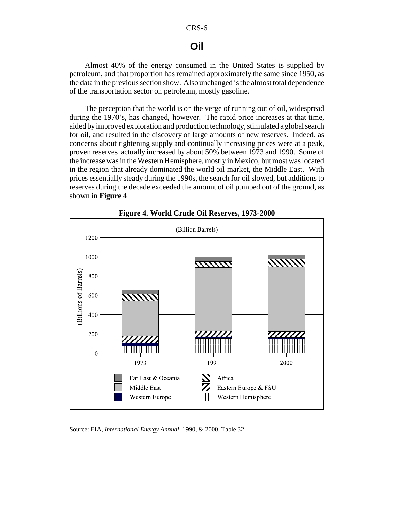## **Oil**

Almost 40% of the energy consumed in the United States is supplied by petroleum, and that proportion has remained approximately the same since 1950, as the data in the previous section show. Also unchanged is the almost total dependence of the transportation sector on petroleum, mostly gasoline.

The perception that the world is on the verge of running out of oil, widespread during the 1970's, has changed, however. The rapid price increases at that time, aided by improved exploration and production technology, stimulated a global search for oil, and resulted in the discovery of large amounts of new reserves. Indeed, as concerns about tightening supply and continually increasing prices were at a peak, proven reserves actually increased by about 50% between 1973 and 1990. Some of the increase was in the Western Hemisphere, mostly in Mexico, but most was located in the region that already dominated the world oil market, the Middle East. With prices essentially steady during the 1990s, the search for oil slowed, but additions to reserves during the decade exceeded the amount of oil pumped out of the ground, as shown in **Figure 4**.



**Figure 4. World Crude Oil Reserves, 1973-2000**

Source: EIA, *International Energy Annual*, 1990, & 2000, Table 32.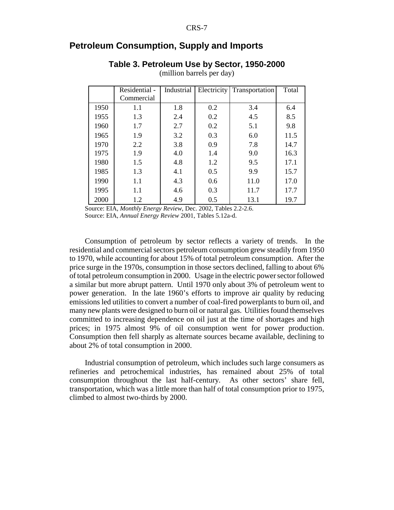## **Petroleum Consumption, Supply and Imports**

#### **Table 3. Petroleum Use by Sector, 1950-2000**

|      | Residential - | Industrial | Electricity<br>Transportation |      | Total |
|------|---------------|------------|-------------------------------|------|-------|
|      | Commercial    |            |                               |      |       |
| 1950 | 1.1           | 1.8        | 0.2                           | 3.4  | 6.4   |
| 1955 | 1.3           | 2.4        | 0.2                           | 4.5  | 8.5   |
| 1960 | 1.7           | 2.7        | 0.2                           | 5.1  | 9.8   |
| 1965 | 1.9           | 3.2        | 0.3                           | 6.0  | 11.5  |
| 1970 | 2.2           | 3.8        | 0.9                           | 7.8  | 14.7  |
| 1975 | 1.9           | 4.0        | 1.4                           | 9.0  | 16.3  |
| 1980 | 1.5           | 4.8        | 1.2                           | 9.5  | 17.1  |
| 1985 | 1.3           | 4.1        | 0.5                           | 9.9  | 15.7  |
| 1990 | 1.1           | 4.3        | 0.6                           | 11.0 | 17.0  |
| 1995 | 1.1           | 4.6        | 0.3                           | 11.7 | 17.7  |
| 2000 | 1.2           | 4.9        | 0.5                           | 13.1 | 19.7  |

(million barrels per day)

Source: EIA, *Monthly Energy Review*, Dec. 2002, Tables 2.2-2.6.

Source: EIA, *Annual Energy Review* 2001, Tables 5.12a-d.

Consumption of petroleum by sector reflects a variety of trends. In the residential and commercial sectors petroleum consumption grew steadily from 1950 to 1970, while accounting for about 15% of total petroleum consumption. After the price surge in the 1970s, consumption in those sectors declined, falling to about 6% of total petroleum consumption in 2000. Usage in the electric power sector followed a similar but more abrupt pattern. Until 1970 only about 3% of petroleum went to power generation. In the late 1960's efforts to improve air quality by reducing emissions led utilities to convert a number of coal-fired powerplants to burn oil, and many new plants were designed to burn oil or natural gas. Utilities found themselves committed to increasing dependence on oil just at the time of shortages and high prices; in 1975 almost 9% of oil consumption went for power production. Consumption then fell sharply as alternate sources became available, declining to about 2% of total consumption in 2000.

Industrial consumption of petroleum, which includes such large consumers as refineries and petrochemical industries, has remained about 25% of total consumption throughout the last half-century. As other sectors' share fell, transportation, which was a little more than half of total consumption prior to 1975, climbed to almost two-thirds by 2000.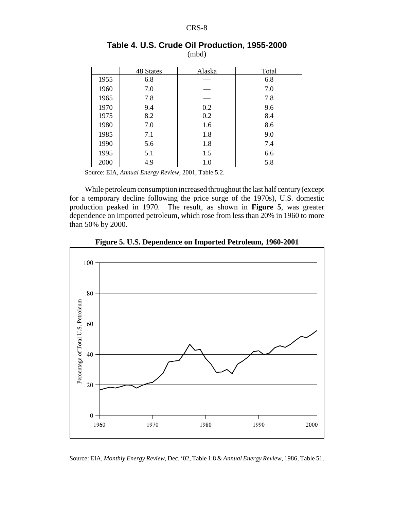|      | 48 States | Alaska | Total |
|------|-----------|--------|-------|
| 1955 | 6.8       |        | 6.8   |
| 1960 | 7.0       |        | 7.0   |
| 1965 | 7.8       |        | 7.8   |
| 1970 | 9.4       | 0.2    | 9.6   |
| 1975 | 8.2       | 0.2    | 8.4   |
| 1980 | 7.0       | 1.6    | 8.6   |
| 1985 | 7.1       | 1.8    | 9.0   |
| 1990 | 5.6       | 1.8    | 7.4   |
| 1995 | 5.1       | 1.5    | 6.6   |
| 2000 | 4.9       | 1.0    | 5.8   |

#### **Table 4. U.S. Crude Oil Production, 1955-2000** (mbd)

Source: EIA, *Annual Energy Review*, 2001, Table 5.2.

While petroleum consumption increased throughout the last half century (except for a temporary decline following the price surge of the 1970s), U.S. domestic production peaked in 1970. The result, as shown in **Figure 5**, was greater dependence on imported petroleum, which rose from less than 20% in 1960 to more than 50% by 2000.



**Figure 5. U.S. Dependence on Imported Petroleum, 1960-2001**

Source: EIA, *Monthly Energy Review*, Dec. '02, Table 1.8 & *Annual Energy Review,* 1986, Table 51.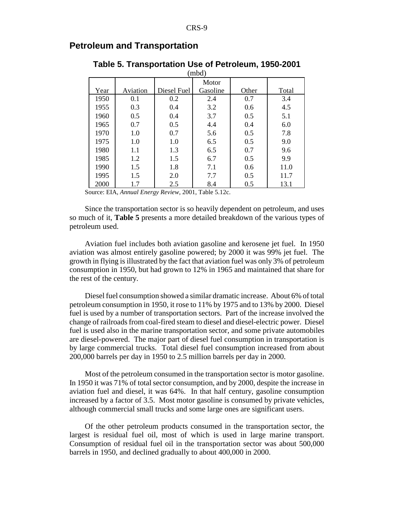|      | (mbd)    |             |          |       |       |  |
|------|----------|-------------|----------|-------|-------|--|
|      |          |             | Motor    |       |       |  |
| Year | Aviation | Diesel Fuel | Gasoline | Other | Total |  |
| 1950 | 0.1      | 0.2         | 2.4      | 0.7   | 3.4   |  |
| 1955 | 0.3      | 0.4         | 3.2      | 0.6   | 4.5   |  |
| 1960 | 0.5      | 0.4         | 3.7      | 0.5   | 5.1   |  |
| 1965 | 0.7      | 0.5         | 4.4      | 0.4   | 6.0   |  |
| 1970 | 1.0      | 0.7         | 5.6      | 0.5   | 7.8   |  |
| 1975 | 1.0      | 1.0         | 6.5      | 0.5   | 9.0   |  |
| 1980 | 1.1      | 1.3         | 6.5      | 0.7   | 9.6   |  |
| 1985 | 1.2      | 1.5         | 6.7      | 0.5   | 9.9   |  |
| 1990 | 1.5      | 1.8         | 7.1      | 0.6   | 11.0  |  |
| 1995 | 1.5      | 2.0         | 7.7      | 0.5   | 11.7  |  |
| 2000 | 1.7      | 2.5         | 8.4      | 0.5   | 13.1  |  |

## **Petroleum and Transportation**

**Table 5. Transportation Use of Petroleum, 1950-2001**

Source: EIA, *Annual Energy Review*, 2001, Table 5.12c.

Since the transportation sector is so heavily dependent on petroleum, and uses so much of it, **Table 5** presents a more detailed breakdown of the various types of petroleum used.

Aviation fuel includes both aviation gasoline and kerosene jet fuel. In 1950 aviation was almost entirely gasoline powered; by 2000 it was 99% jet fuel. The growth in flying is illustrated by the fact that aviation fuel was only 3% of petroleum consumption in 1950, but had grown to 12% in 1965 and maintained that share for the rest of the century.

Diesel fuel consumption showed a similar dramatic increase. About 6% of total petroleum consumption in 1950, it rose to 11% by 1975 and to 13% by 2000. Diesel fuel is used by a number of transportation sectors. Part of the increase involved the change of railroads from coal-fired steam to diesel and diesel-electric power. Diesel fuel is used also in the marine transportation sector, and some private automobiles are diesel-powered. The major part of diesel fuel consumption in transportation is by large commercial trucks. Total diesel fuel consumption increased from about 200,000 barrels per day in 1950 to 2.5 million barrels per day in 2000.

Most of the petroleum consumed in the transportation sector is motor gasoline. In 1950 it was 71% of total sector consumption, and by 2000, despite the increase in aviation fuel and diesel, it was 64%. In that half century, gasoline consumption increased by a factor of 3.5. Most motor gasoline is consumed by private vehicles, although commercial small trucks and some large ones are significant users.

Of the other petroleum products consumed in the transportation sector, the largest is residual fuel oil, most of which is used in large marine transport. Consumption of residual fuel oil in the transportation sector was about 500,000 barrels in 1950, and declined gradually to about 400,000 in 2000.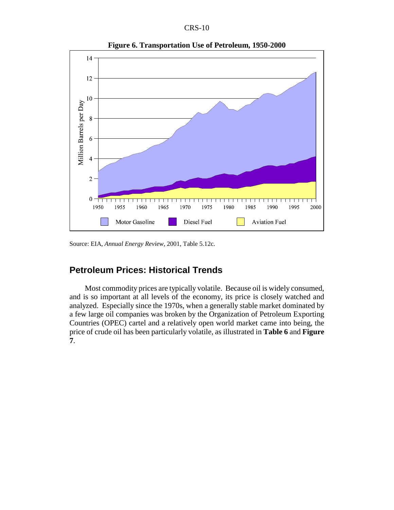



**Figure 6. Transportation Use of Petroleum, 1950-2000**

Source: EIA, *Annual Energy Review*, 2001, Table 5.12c.

## **Petroleum Prices: Historical Trends**

Most commodity prices are typically volatile. Because oil is widely consumed, and is so important at all levels of the economy, its price is closely watched and analyzed. Especially since the 1970s, when a generally stable market dominated by a few large oil companies was broken by the Organization of Petroleum Exporting Countries (OPEC) cartel and a relatively open world market came into being, the price of crude oil has been particularly volatile, as illustrated in **Table 6** and **Figure 7**.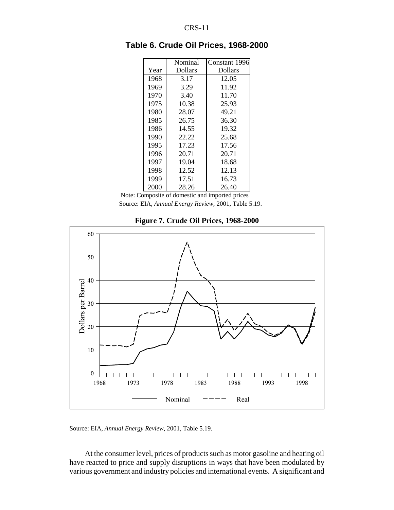|      | Nominal | Constant 1996 |
|------|---------|---------------|
| Year | Dollars | Dollars       |
| 1968 | 3.17    | 12.05         |
| 1969 | 3.29    | 11.92         |
| 1970 | 3.40    | 11.70         |
| 1975 | 10.38   | 25.93         |
| 1980 | 28.07   | 49.21         |
| 1985 | 26.75   | 36.30         |
| 1986 | 14.55   | 19.32         |
| 1990 | 22.22   | 25.68         |
| 1995 | 17.23   | 17.56         |
| 1996 | 20.71   | 20.71         |
| 1997 | 19.04   | 18.68         |
| 1998 | 12.52   | 12.13         |
| 1999 | 17.51   | 16.73         |
| 2000 | 28.26   | 26.40         |

**Table 6. Crude Oil Prices, 1968-2000**

 Note: Composite of domestic and imported prices Source: EIA, *Annual Energy Review*, 2001, Table 5.19.



**Figure 7. Crude Oil Prices, 1968-2000**

Source: EIA, *Annual Energy Review*, 2001, Table 5.19.

At the consumer level, prices of products such as motor gasoline and heating oil have reacted to price and supply disruptions in ways that have been modulated by various government and industry policies and international events. A significant and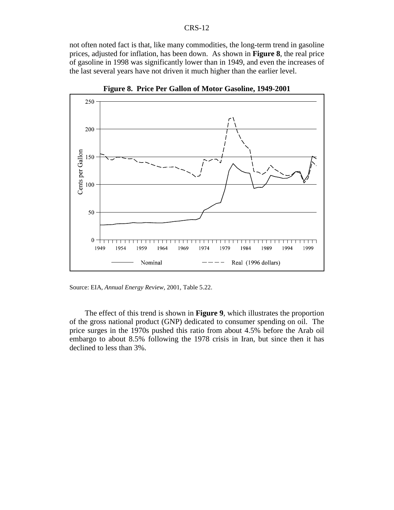not often noted fact is that, like many commodities, the long-term trend in gasoline prices, adjusted for inflation, has been down. As shown in **Figure 8**, the real price of gasoline in 1998 was significantly lower than in 1949, and even the increases of the last several years have not driven it much higher than the earlier level.



**Figure 8. Price Per Gallon of Motor Gasoline, 1949-2001**

Source: EIA, *Annual Energy Review*, 2001, Table 5.22.

The effect of this trend is shown in **Figure 9**, which illustrates the proportion of the gross national product (GNP) dedicated to consumer spending on oil. The price surges in the 1970s pushed this ratio from about 4.5% before the Arab oil embargo to about 8.5% following the 1978 crisis in Iran, but since then it has declined to less than 3%.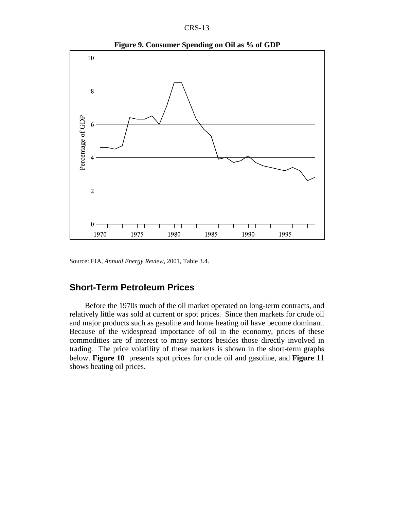



**Figure 9. Consumer Spending on Oil as % of GDP**

Source: EIA, *Annual Energy Review*, 2001, Table 3.4.

## **Short-Term Petroleum Prices**

Before the 1970s much of the oil market operated on long-term contracts, and relatively little was sold at current or spot prices. Since then markets for crude oil and major products such as gasoline and home heating oil have become dominant. Because of the widespread importance of oil in the economy, prices of these commodities are of interest to many sectors besides those directly involved in trading. The price volatility of these markets is shown in the short-term graphs below. **Figure 10** presents spot prices for crude oil and gasoline, and **Figure 11** shows heating oil prices.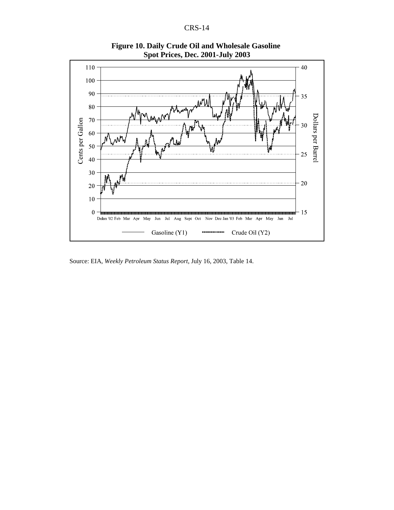

**Figure 10. Daily Crude Oil and Wholesale Gasoline Spot Prices, Dec. 2001-July 2003**

Source: EIA, *Weekly Petroleum Status Report*, July 16, 2003, Table 14.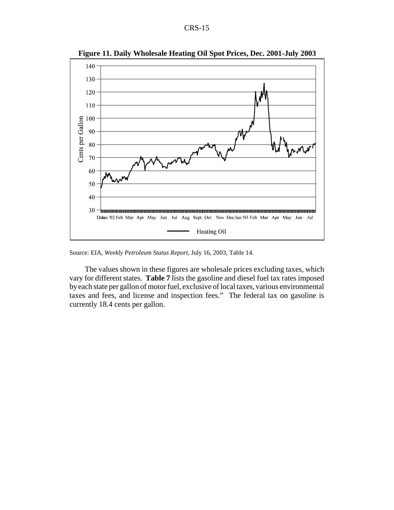

**Figure 11. Daily Wholesale Heating Oil Spot Prices, Dec. 2001-July 2003**

Source: EIA, *Weekly Petroleum Status Report*, July 16, 2003, Table 14.

The values shown in these figures are wholesale prices excluding taxes, which vary for different states. **Table 7** lists the gasoline and diesel fuel tax rates imposed by each state per gallon of motor fuel, exclusive of local taxes, various environmental taxes and fees, and license and inspection fees." The federal tax on gasoline is currently 18.4 cents per gallon.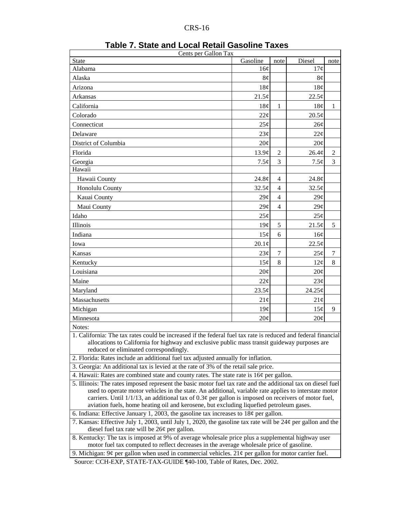| Cents per Gallon Tax                                                                                                                                                                                                                                                                                                                          |                   |                |                 |              |  |  |
|-----------------------------------------------------------------------------------------------------------------------------------------------------------------------------------------------------------------------------------------------------------------------------------------------------------------------------------------------|-------------------|----------------|-----------------|--------------|--|--|
| <b>State</b>                                                                                                                                                                                                                                                                                                                                  | Gasoline          | note           | Diesel          | note         |  |  |
| Alabama                                                                                                                                                                                                                                                                                                                                       | 16¢               |                | 17¢             |              |  |  |
| Alaska                                                                                                                                                                                                                                                                                                                                        | 8¢                |                | 8¢              |              |  |  |
| Arizona                                                                                                                                                                                                                                                                                                                                       | 18¢               |                | 18¢             |              |  |  |
| Arkansas                                                                                                                                                                                                                                                                                                                                      | 21.5¢             |                | 22.5¢           |              |  |  |
| California                                                                                                                                                                                                                                                                                                                                    | 18¢               | $\mathbf{1}$   | 18¢             | $\mathbf{1}$ |  |  |
| Colorado                                                                                                                                                                                                                                                                                                                                      | 22¢               |                | $20.5\phi$      |              |  |  |
| Connecticut                                                                                                                                                                                                                                                                                                                                   | 25¢               |                | 26¢             |              |  |  |
| Delaware                                                                                                                                                                                                                                                                                                                                      | 23¢               |                | 22¢             |              |  |  |
| District of Columbia                                                                                                                                                                                                                                                                                                                          | 20¢               |                | 20¢             |              |  |  |
| Florida                                                                                                                                                                                                                                                                                                                                       | 13.9¢             | $\overline{2}$ | 26.4¢           | 2            |  |  |
| Georgia                                                                                                                                                                                                                                                                                                                                       | $7.5\phi$         | 3              | $7.5\phi$       | 3            |  |  |
| Hawaii                                                                                                                                                                                                                                                                                                                                        |                   |                |                 |              |  |  |
| Hawaii County                                                                                                                                                                                                                                                                                                                                 | 24.8 <sub>c</sub> | $\overline{4}$ | 24.8¢           |              |  |  |
| Honolulu County                                                                                                                                                                                                                                                                                                                               | 32.5¢             | $\overline{4}$ | 32.5¢           |              |  |  |
| Kauai County                                                                                                                                                                                                                                                                                                                                  | $29\mathcal{C}$   | $\overline{4}$ | 29 <sub>¢</sub> |              |  |  |
| Maui County                                                                                                                                                                                                                                                                                                                                   | 29¢               | $\overline{4}$ | 29¢             |              |  |  |
| Idaho                                                                                                                                                                                                                                                                                                                                         | 25¢               |                | 25¢             |              |  |  |
| Illinois                                                                                                                                                                                                                                                                                                                                      | 19¢               | 5              | 21.5¢           | 5            |  |  |
| Indiana                                                                                                                                                                                                                                                                                                                                       | 15¢               | 6              | 16¢             |              |  |  |
| Iowa                                                                                                                                                                                                                                                                                                                                          | $20.1\phi$        |                | 22.5¢           |              |  |  |
| Kansas                                                                                                                                                                                                                                                                                                                                        | 23¢               | $\tau$         | 25¢             | 7            |  |  |
| Kentucky                                                                                                                                                                                                                                                                                                                                      | 15¢               | $8\,$          | 12¢             | 8            |  |  |
| Louisiana                                                                                                                                                                                                                                                                                                                                     | 20¢               |                | 20¢             |              |  |  |
| Maine                                                                                                                                                                                                                                                                                                                                         | $22\mathcal{C}$   |                | 23¢             |              |  |  |
| 24.25¢<br>Maryland<br>23.5¢                                                                                                                                                                                                                                                                                                                   |                   |                |                 |              |  |  |
| Massachusetts<br>21¢<br>21¢                                                                                                                                                                                                                                                                                                                   |                   |                |                 |              |  |  |
| Michigan<br>15¢<br>19¢                                                                                                                                                                                                                                                                                                                        |                   |                |                 |              |  |  |
| Minnesota                                                                                                                                                                                                                                                                                                                                     | 20¢               |                | 20¢             |              |  |  |
| Notes:                                                                                                                                                                                                                                                                                                                                        |                   |                |                 |              |  |  |
| 1. California: The tax rates could be increased if the federal fuel tax rate is reduced and federal financial<br>allocations to California for highway and exclusive public mass transit guideway purposes are<br>reduced or eliminated correspondingly.<br>2. Florida: Rates include an additional fuel tax adjusted annually for inflation. |                   |                |                 |              |  |  |
| 3. Georgia: An additional tax is levied at the rate of 3% of the retail sale price.                                                                                                                                                                                                                                                           |                   |                |                 |              |  |  |
| 4. Hawaii: Rates are combined state and county rates. The state rate is 16¢ per gallon.                                                                                                                                                                                                                                                       |                   |                |                 |              |  |  |
| 5. Illinois: The rates imposed represent the basic motor fuel tax rate and the additional tax on diesel fuel<br>used to operate motor vehicles in the state. An additional, variable rate applies to interstate motor                                                                                                                         |                   |                |                 |              |  |  |
| carriers. Until $1/1/13$ , an additional tax of 0.3¢ per gallon is imposed on receivers of motor fuel,<br>aviation fuels, home heating oil and kerosene, but excluding liquefied petroleum gases.                                                                                                                                             |                   |                |                 |              |  |  |
| 6. Indiana: Effective January 1, 2003, the gasoline tax increases to $18¢$ per gallon.                                                                                                                                                                                                                                                        |                   |                |                 |              |  |  |
| 7. Kansas: Effective July 1, 2003, until July 1, 2020, the gasoline tax rate will be 24¢ per gallon and the<br>diesel fuel tax rate will be 26¢ per gallon.                                                                                                                                                                                   |                   |                |                 |              |  |  |
| 8. Kentucky: The tax is imposed at 9% of average wholesale price plus a supplemental highway user<br>motor fuel tax computed to reflect decreases in the average wholesale price of gasoline.                                                                                                                                                 |                   |                |                 |              |  |  |
| 9. Michigan: $9¢$ per gallon when used in commercial vehicles. $21¢$ per gallon for motor carrier fuel.                                                                                                                                                                                                                                       |                   |                |                 |              |  |  |
|                                                                                                                                                                                                                                                                                                                                               |                   |                |                 |              |  |  |

| Table 7. State and Local Retail Gasoline Taxes |  |  |
|------------------------------------------------|--|--|
|------------------------------------------------|--|--|

Source: CCH-EXP, STATE-TAX-GUIDE ¶40-100, Table of Rates, Dec. 2002.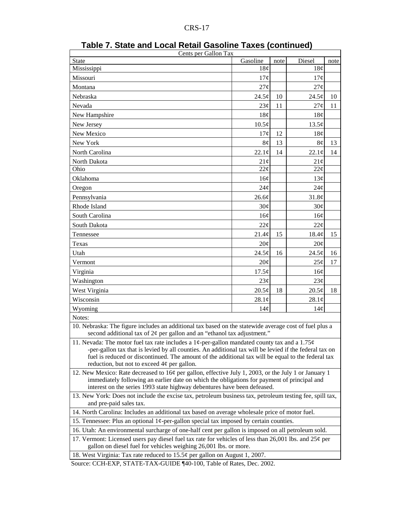| Cents per Gallon Tax                                                                                                                                                                                                                                                                                                                                          |                   |      |                 |      |  |  |
|---------------------------------------------------------------------------------------------------------------------------------------------------------------------------------------------------------------------------------------------------------------------------------------------------------------------------------------------------------------|-------------------|------|-----------------|------|--|--|
| State                                                                                                                                                                                                                                                                                                                                                         | Gasoline          | note | Diesel          | note |  |  |
| Mississippi                                                                                                                                                                                                                                                                                                                                                   | 18 <sub>c</sub>   |      | 18 <sub>c</sub> |      |  |  |
| Missouri                                                                                                                                                                                                                                                                                                                                                      | 17¢               |      | 17¢             |      |  |  |
| Montana                                                                                                                                                                                                                                                                                                                                                       | 27¢               |      | 27¢             |      |  |  |
| Nebraska                                                                                                                                                                                                                                                                                                                                                      | 24.5¢             | 10   | 24.5¢           | 10   |  |  |
| Nevada                                                                                                                                                                                                                                                                                                                                                        | 23¢               | 11   | 27¢             | 11   |  |  |
| New Hampshire                                                                                                                                                                                                                                                                                                                                                 | 18¢               |      | 18¢             |      |  |  |
| New Jersey                                                                                                                                                                                                                                                                                                                                                    | $10.5\textdegree$ |      | 13.5¢           |      |  |  |
| New Mexico                                                                                                                                                                                                                                                                                                                                                    | 17¢               | 12   | 18¢             |      |  |  |
| New York                                                                                                                                                                                                                                                                                                                                                      | 8¢                | 13   | $8\phi$         | 13   |  |  |
| North Carolina                                                                                                                                                                                                                                                                                                                                                | 22.1¢             | 14   | 22.1¢           | 14   |  |  |
| North Dakota                                                                                                                                                                                                                                                                                                                                                  | 21¢               |      | 21¢             |      |  |  |
| Ohio                                                                                                                                                                                                                                                                                                                                                          | 22¢               |      | $22\mathcal{C}$ |      |  |  |
| Oklahoma                                                                                                                                                                                                                                                                                                                                                      | 16¢               |      | 13¢             |      |  |  |
| Oregon                                                                                                                                                                                                                                                                                                                                                        | 24¢               |      | 24¢             |      |  |  |
| Pennsylvania                                                                                                                                                                                                                                                                                                                                                  | 26.6¢             |      | 31.8¢           |      |  |  |
| Rhode Island                                                                                                                                                                                                                                                                                                                                                  | 30¢               |      | 30¢             |      |  |  |
| South Carolina                                                                                                                                                                                                                                                                                                                                                | 16¢               |      | 16¢             |      |  |  |
| South Dakota                                                                                                                                                                                                                                                                                                                                                  | 22¢               |      | 22¢             |      |  |  |
| Tennessee                                                                                                                                                                                                                                                                                                                                                     | 21.4¢             | 15   | 18.4¢           | 15   |  |  |
| Texas                                                                                                                                                                                                                                                                                                                                                         | 20¢               |      | 20¢             |      |  |  |
| Utah                                                                                                                                                                                                                                                                                                                                                          | 24.5¢             | 16   | 24.5¢           | 16   |  |  |
| Vermont                                                                                                                                                                                                                                                                                                                                                       | 20¢               |      | 25¢             | 17   |  |  |
| Virginia                                                                                                                                                                                                                                                                                                                                                      | $17.5\phi$        |      | 16¢             |      |  |  |
| Washington                                                                                                                                                                                                                                                                                                                                                    | 23¢               |      | 23¢             |      |  |  |
| West Virginia                                                                                                                                                                                                                                                                                                                                                 | $20.5\phi$        | 18   | $20.5\phi$      | 18   |  |  |
| Wisconsin                                                                                                                                                                                                                                                                                                                                                     | 28.1¢             |      | 28.1¢           |      |  |  |
| Wyoming                                                                                                                                                                                                                                                                                                                                                       | 14¢               |      | 14¢             |      |  |  |
| Notes:                                                                                                                                                                                                                                                                                                                                                        |                   |      |                 |      |  |  |
| 10. Nebraska: The figure includes an additional tax based on the statewide average cost of fuel plus a<br>second additional tax of $2\phi$ per gallon and an "ethanol tax adjustment."                                                                                                                                                                        |                   |      |                 |      |  |  |
| 11. Nevada: The motor fuel tax rate includes a 1¢-per-gallon mandated county tax and a 1.75¢<br>-per-gallon tax that is levied by all counties. An additional tax will be levied if the federal tax on<br>fuel is reduced or discontinued. The amount of the additional tax will be equal to the federal tax<br>reduction, but not to exceed $4¢$ per gallon. |                   |      |                 |      |  |  |
| 12. New Mexico: Rate decreased to $16¢$ per gallon, effective July 1, 2003, or the July 1 or January 1<br>immediately following an earlier date on which the obligations for payment of principal and<br>interest on the series 1993 state highway debentures have been defeased.                                                                             |                   |      |                 |      |  |  |
| 13. New York: Does not include the excise tax, petroleum business tax, petroleum testing fee, spill tax,<br>and pre-paid sales tax.                                                                                                                                                                                                                           |                   |      |                 |      |  |  |
| 14. North Carolina: Includes an additional tax based on average wholesale price of motor fuel.                                                                                                                                                                                                                                                                |                   |      |                 |      |  |  |
| 15. Tennessee: Plus an optional $1¢$ -per-gallon special tax imposed by certain counties.                                                                                                                                                                                                                                                                     |                   |      |                 |      |  |  |
| 16. Utah: An environmental surcharge of one-half cent per gallon is imposed on all petroleum sold.                                                                                                                                                                                                                                                            |                   |      |                 |      |  |  |
| 17. Vermont: Licensed users pay diesel fuel tax rate for vehicles of less than 26,001 lbs. and 25 $\varphi$ per<br>gallon on diesel fuel for vehicles weighing 26,001 lbs. or more.                                                                                                                                                                           |                   |      |                 |      |  |  |
| 18. West Virginia: Tax rate reduced to $15.5\phi$ per gallon on August 1, 2007.                                                                                                                                                                                                                                                                               |                   |      |                 |      |  |  |

| Table 7. State and Local Retail Gasoline Taxes (continued) |  |
|------------------------------------------------------------|--|
|------------------------------------------------------------|--|

Source: CCH-EXP, STATE-TAX-GUIDE ¶40-100, Table of Rates, Dec. 2002.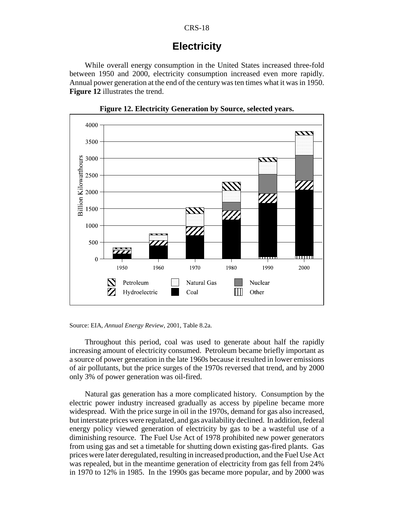## **Electricity**

While overall energy consumption in the United States increased three-fold between 1950 and 2000, electricity consumption increased even more rapidly. Annual power generation at the end of the century was ten times what it was in 1950. **Figure 12** illustrates the trend.



**Figure 12. Electricity Generation by Source, selected years.**

Source: EIA, *Annual Energy Review*, 2001, Table 8.2a.

Throughout this period, coal was used to generate about half the rapidly increasing amount of electricity consumed. Petroleum became briefly important as a source of power generation in the late 1960s because it resulted in lower emissions of air pollutants, but the price surges of the 1970s reversed that trend, and by 2000 only 3% of power generation was oil-fired.

Natural gas generation has a more complicated history. Consumption by the electric power industry increased gradually as access by pipeline became more widespread. With the price surge in oil in the 1970s, demand for gas also increased, but interstate prices were regulated, and gas availability declined. In addition, federal energy policy viewed generation of electricity by gas to be a wasteful use of a diminishing resource. The Fuel Use Act of 1978 prohibited new power generators from using gas and set a timetable for shutting down existing gas-fired plants. Gas prices were later deregulated, resulting in increased production, and the Fuel Use Act was repealed, but in the meantime generation of electricity from gas fell from 24% in 1970 to 12% in 1985. In the 1990s gas became more popular, and by 2000 was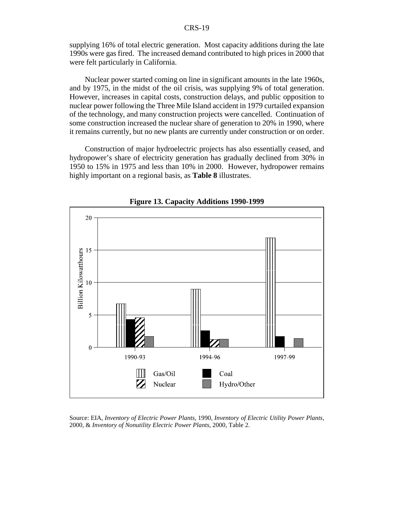supplying 16% of total electric generation. Most capacity additions during the late 1990s were gas fired. The increased demand contributed to high prices in 2000 that were felt particularly in California.

Nuclear power started coming on line in significant amounts in the late 1960s, and by 1975, in the midst of the oil crisis, was supplying 9% of total generation. However, increases in capital costs, construction delays, and public opposition to nuclear power following the Three Mile Island accident in 1979 curtailed expansion of the technology, and many construction projects were cancelled. Continuation of some construction increased the nuclear share of generation to 20% in 1990, where it remains currently, but no new plants are currently under construction or on order.

Construction of major hydroelectric projects has also essentially ceased, and hydropower's share of electricity generation has gradually declined from 30% in 1950 to 15% in 1975 and less than 10% in 2000. However, hydropower remains highly important on a regional basis, as **Table 8** illustrates.



**Figure 13. Capacity Additions 1990-1999**

Source: EIA, *Inventory of Electric Power Plants*, 1990, *Inventory of Electric Utility Power Plants*, 2000, & *Inventory of Nonutility Electric Power Plants*, 2000, Table 2.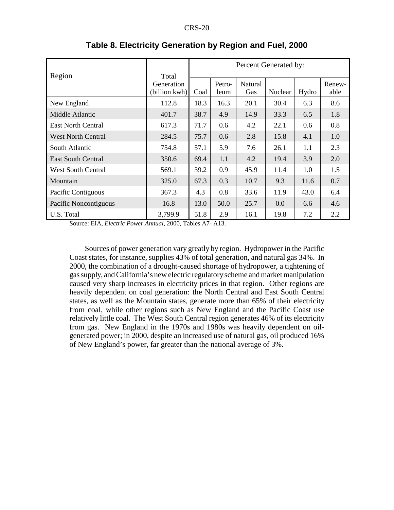|                           |                                      | Percent Generated by: |                |                |         |       |                |
|---------------------------|--------------------------------------|-----------------------|----------------|----------------|---------|-------|----------------|
| Region                    | Total<br>Generation<br>(billion kwh) | Coal                  | Petro-<br>leum | Natural<br>Gas | Nuclear | Hydro | Renew-<br>able |
| New England               | 112.8                                | 18.3                  | 16.3           | 20.1           | 30.4    | 6.3   | 8.6            |
| Middle Atlantic           | 401.7                                | 38.7                  | 4.9            | 14.9           | 33.3    | 6.5   | 1.8            |
| <b>East North Central</b> | 617.3                                | 71.7                  | 0.6            | 4.2            | 22.1    | 0.6   | 0.8            |
| <b>West North Central</b> | 284.5                                | 75.7                  | 0.6            | 2.8            | 15.8    | 4.1   | 1.0            |
| South Atlantic            | 754.8                                | 57.1                  | 5.9            | 7.6            | 26.1    | 1.1   | 2.3            |
| <b>East South Central</b> | 350.6                                | 69.4                  | 1.1            | 4.2            | 19.4    | 3.9   | 2.0            |
| <b>West South Central</b> | 569.1                                | 39.2                  | 0.9            | 45.9           | 11.4    | 1.0   | 1.5            |
| Mountain                  | 325.0                                | 67.3                  | 0.3            | 10.7           | 9.3     | 11.6  | 0.7            |
| Pacific Contiguous        | 367.3                                | 4.3                   | 0.8            | 33.6           | 11.9    | 43.0  | 6.4            |
| Pacific Noncontiguous     | 16.8                                 | 13.0                  | 50.0           | 25.7           | 0.0     | 6.6   | 4.6            |
| U.S. Total                | 3,799.9                              | 51.8                  | 2.9            | 16.1           | 19.8    | 7.2   | 2.2            |

#### **Table 8. Electricity Generation by Region and Fuel, 2000**

Source: EIA, *Electric Power Annual,* 2000, Tables A7- A13.

Sources of power generation vary greatly by region. Hydropower in the Pacific Coast states, for instance, supplies 43% of total generation, and natural gas 34%. In 2000, the combination of a drought-caused shortage of hydropower, a tightening of gas supply, and California's new electric regulatory scheme and market manipulation caused very sharp increases in electricity prices in that region. Other regions are heavily dependent on coal generation: the North Central and East South Central states, as well as the Mountain states, generate more than 65% of their electricity from coal, while other regions such as New England and the Pacific Coast use relatively little coal. The West South Central region generates 46% of its electricity from gas. New England in the 1970s and 1980s was heavily dependent on oilgenerated power; in 2000, despite an increased use of natural gas, oil produced 16% of New England's power, far greater than the national average of 3%.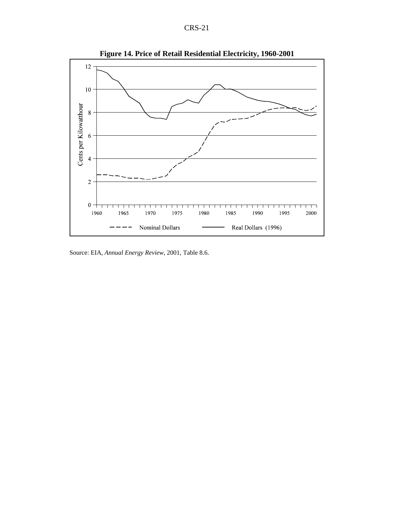| D)<br>x.<br>No. |  |
|-----------------|--|
|-----------------|--|



**Figure 14. Price of Retail Residential Electricity, 1960-2001**

Source: EIA, *Annual Energy Review*, 2001, Table 8.6.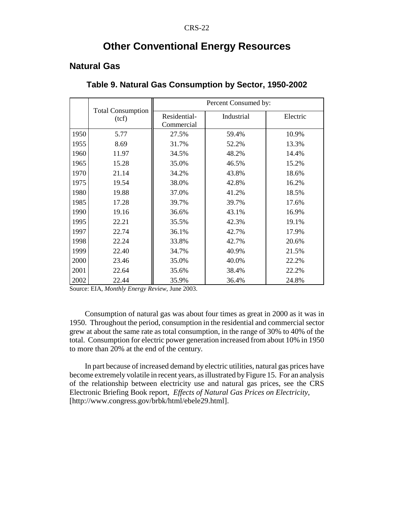## **Other Conventional Energy Resources**

## **Natural Gas**

|      |                                   | Percent Consumed by:       |            |          |  |
|------|-----------------------------------|----------------------------|------------|----------|--|
|      | <b>Total Consumption</b><br>(tcf) | Residential-<br>Commercial | Industrial | Electric |  |
| 1950 | 5.77                              | 27.5%                      | 59.4%      | 10.9%    |  |
| 1955 | 8.69                              | 31.7%                      | 52.2%      | 13.3%    |  |
| 1960 | 11.97                             | 34.5%                      | 48.2%      | 14.4%    |  |
| 1965 | 15.28                             | 35.0%                      | 46.5%      | 15.2%    |  |
| 1970 | 21.14                             | 34.2%                      | 43.8%      | 18.6%    |  |
| 1975 | 19.54                             | 38.0%                      | 42.8%      | 16.2%    |  |
| 1980 | 19.88                             | 37.0%                      | 41.2%      | 18.5%    |  |
| 1985 | 17.28                             | 39.7%                      | 39.7%      | 17.6%    |  |
| 1990 | 19.16                             | 36.6%                      | 43.1%      | 16.9%    |  |
| 1995 | 22.21                             | 35.5%                      | 42.3%      | 19.1%    |  |
| 1997 | 22.74                             | 36.1%                      | 42.7%      | 17.9%    |  |
| 1998 | 22.24                             | 33.8%                      | 42.7%      | 20.6%    |  |
| 1999 | 22.40                             | 34.7%                      | 40.9%      | 21.5%    |  |
| 2000 | 23.46                             | 35.0%                      | 40.0%      | 22.2%    |  |
| 2001 | 22.64                             | 35.6%                      | 38.4%      | 22.2%    |  |
| 2002 | 22.44                             | 35.9%                      | 36.4%      | 24.8%    |  |

**Table 9. Natural Gas Consumption by Sector, 1950-2002**

Source: EIA, *Monthly Energy Review*, June 2003.

Consumption of natural gas was about four times as great in 2000 as it was in 1950. Throughout the period, consumption in the residential and commercial sector grew at about the same rate as total consumption, in the range of 30% to 40% of the total. Consumption for electric power generation increased from about 10% in 1950 to more than 20% at the end of the century.

In part because of increased demand by electric utilities, natural gas prices have become extremely volatile in recent years, as illustrated by Figure 15. For an analysis of the relationship between electricity use and natural gas prices, see the CRS Electronic Briefing Book report, *Effects of Natural Gas Prices on Electricity*, [http://www.congress.gov/brbk/html/ebele29.html].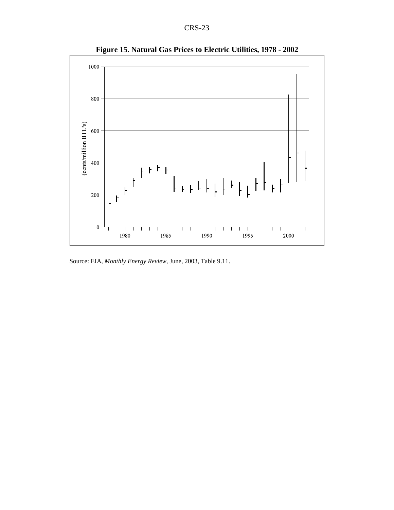

**Figure 15. Natural Gas Prices to Electric Utilities, 1978 - 2002**

Source: EIA, *Monthly Energy Review*, June, 2003, Table 9.11.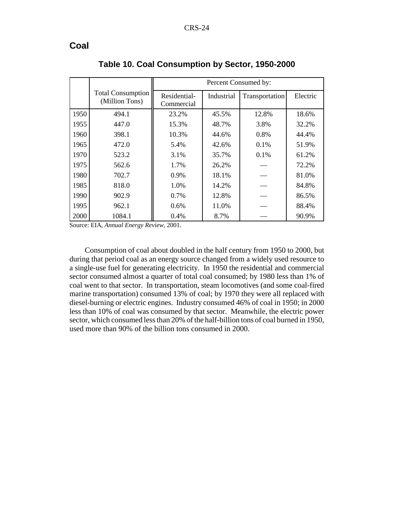### **Coal**

|      |                                            | Percent Consumed by:       |            |                |          |  |
|------|--------------------------------------------|----------------------------|------------|----------------|----------|--|
|      | <b>Total Consumption</b><br>(Million Tons) | Residential-<br>Commercial | Industrial | Transportation | Electric |  |
| 1950 | 494.1                                      | 23.2%                      | 45.5%      | 12.8%          | 18.6%    |  |
| 1955 | 447.0                                      | 15.3%                      | 48.7%      | 3.8%           | 32.2%    |  |
| 1960 | 398.1                                      | 10.3%                      | 44.6%      | 0.8%           | 44.4%    |  |
| 1965 | 472.0                                      | 5.4%                       | 42.6%      | $0.1\%$        | 51.9%    |  |
| 1970 | 523.2                                      | 3.1%                       | 35.7%      | $0.1\%$        | 61.2%    |  |
| 1975 | 562.6                                      | 1.7%                       | 26.2%      |                | 72.2%    |  |
| 1980 | 702.7                                      | 0.9%                       | 18.1%      |                | 81.0%    |  |
| 1985 | 818.0                                      | 1.0%                       | 14.2%      |                | 84.8%    |  |
| 1990 | 902.9                                      | 0.7%                       | 12.8%      |                | 86.5%    |  |
| 1995 | 962.1                                      | 0.6%                       | 11.0%      |                | 88.4%    |  |
| 2000 | 1084.1                                     | 0.4%                       | 8.7%       |                | 90.9%    |  |

**Table 10. Coal Consumption by Sector, 1950-2000**

Source: EIA, *Annual Energy Review*, 2001.

Consumption of coal about doubled in the half century from 1950 to 2000, but during that period coal as an energy source changed from a widely used resource to a single-use fuel for generating electricity. In 1950 the residential and commercial sector consumed almost a quarter of total coal consumed; by 1980 less than 1% of coal went to that sector. In transportation, steam locomotives (and some coal-fired marine transportation) consumed 13% of coal; by 1970 they were all replaced with diesel-burning or electric engines. Industry consumed 46% of coal in 1950; in 2000 less than 10% of coal was consumed by that sector. Meanwhile, the electric power sector, which consumed less than 20% of the half-billion tons of coal burned in 1950, used more than 90% of the billion tons consumed in 2000.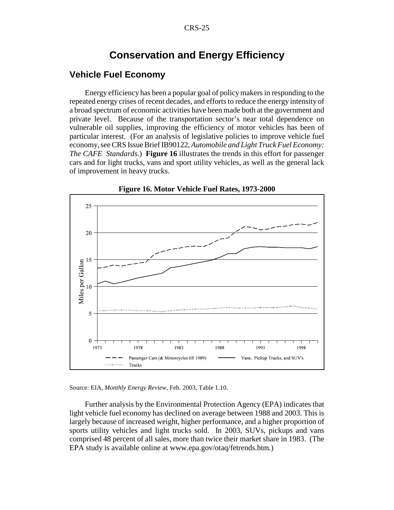## **Conservation and Energy Efficiency**

#### **Vehicle Fuel Economy**

Energy efficiency has been a popular goal of policy makers in responding to the repeated energy crises of recent decades, and efforts to reduce the energy intensity of a broad spectrum of economic activities have been made both at the government and private level. Because of the transportation sector's near total dependence on vulnerable oil supplies, improving the efficiency of motor vehicles has been of particular interest. (For an analysis of legislative policies to improve vehicle fuel economy, see CRS Issue Brief IB90122, *Automobile and Light Truck Fuel Economy: The CAFE Standards.*) **Figure 16** illustrates the trends in this effort for passenger cars and for light trucks, vans and sport utility vehicles, as well as the general lack of improvement in heavy trucks.



**Figure 16. Motor Vehicle Fuel Rates, 1973-2000**



Further analysis by the Environmental Protection Agency (EPA) indicates that light vehicle fuel economy has declined on average between 1988 and 2003. This is largely because of increased weight, higher performance, and a higher proportion of sports utility vehicles and light trucks sold. In 2003, SUVs, pickups and vans comprised 48 percent of all sales, more than twice their market share in 1983. (The EPA study is available online at www.epa.gov/otaq/fetrends.htm.)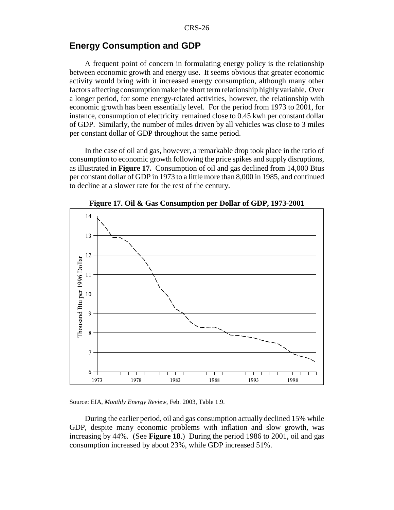#### **Energy Consumption and GDP**

A frequent point of concern in formulating energy policy is the relationship between economic growth and energy use. It seems obvious that greater economic activity would bring with it increased energy consumption, although many other factors affecting consumption make the short term relationship highly variable. Over a longer period, for some energy-related activities, however, the relationship with economic growth has been essentially level. For the period from 1973 to 2001, for instance, consumption of electricity remained close to 0.45 kwh per constant dollar of GDP. Similarly, the number of miles driven by all vehicles was close to 3 miles per constant dollar of GDP throughout the same period.

In the case of oil and gas, however, a remarkable drop took place in the ratio of consumption to economic growth following the price spikes and supply disruptions, as illustrated in **Figure 17.** Consumption of oil and gas declined from 14,000 Btus per constant dollar of GDP in 1973 to a little more than 8,000 in 1985, and continued to decline at a slower rate for the rest of the century.



**Figure 17. Oil & Gas Consumption per Dollar of GDP, 1973-2001**

Source: EIA, *Monthly Energy Review*, Feb. 2003, Table 1.9.

During the earlier period, oil and gas consumption actually declined 15% while GDP, despite many economic problems with inflation and slow growth, was increasing by 44%. (See **Figure 18**.) During the period 1986 to 2001, oil and gas consumption increased by about 23%, while GDP increased 51%.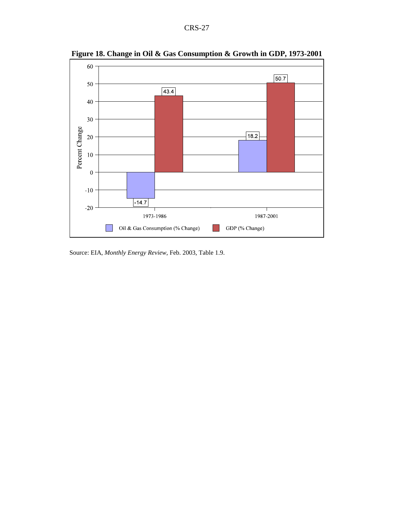

**Figure 18. Change in Oil & Gas Consumption & Growth in GDP, 1973-2001**

Source: EIA, *Monthly Energy Review*, Feb. 2003, Table 1.9.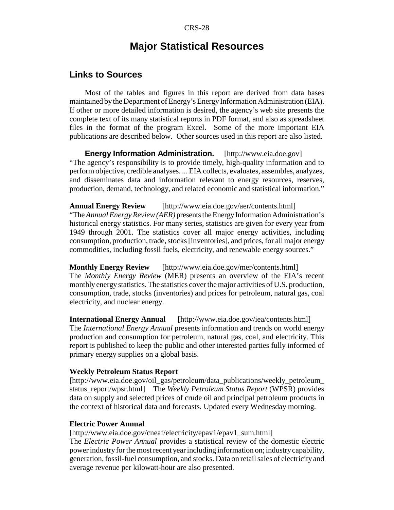## **Major Statistical Resources**

#### **Links to Sources**

Most of the tables and figures in this report are derived from data bases maintained by the Department of Energy's Energy Information Administration (EIA). If other or more detailed information is desired, the agency's web site presents the complete text of its many statistical reports in PDF format, and also as spreadsheet files in the format of the program Excel. Some of the more important EIA publications are described below. Other sources used in this report are also listed.

**Energy Information Administration.** [http://www.eia.doe.gov] "The agency's responsibility is to provide timely, high-quality information and to perform objective, credible analyses. ... EIA collects, evaluates, assembles, analyzes, and disseminates data and information relevant to energy resources, reserves, production, demand, technology, and related economic and statistical information."

**Annual Energy Review** [http://www.eia.doe.gov/aer/contents.html] "The *Annual Energy Review (AER)* presents the Energy Information Administration's historical energy statistics. For many series, statistics are given for every year from 1949 through 2001. The statistics cover all major energy activities, including consumption, production, trade, stocks [inventories], and prices, for all major energy commodities, including fossil fuels, electricity, and renewable energy sources."

**Monthly Energy Review** [http://www.eia.doe.gov/mer/contents.html] The *Monthly Energy Review* (MER) presents an overview of the EIA's recent monthly energy statistics. The statistics cover the major activities of U.S. production, consumption, trade, stocks (inventories) and prices for petroleum, natural gas, coal electricity, and nuclear energy.

**International Energy Annual** [http://www.eia.doe.gov/iea/contents.html] The *International Energy Annual* presents information and trends on world energy production and consumption for petroleum, natural gas, coal, and electricity. This report is published to keep the public and other interested parties fully informed of primary energy supplies on a global basis.

#### **Weekly Petroleum Status Report**

[http://www.eia.doe.gov/oil\_gas/petroleum/data\_publications/weekly\_petroleum\_ status\_report/wpsr.html] The *Weekly Petroleum Status Report* (WPSR) provides data on supply and selected prices of crude oil and principal petroleum products in the context of historical data and forecasts. Updated every Wednesday morning.

#### **Electric Power Annual**

[http://www.eia.doe.gov/cneaf/electricity/epav1/epav1\_sum.html] The *Electric Power Annual* provides a statistical review of the domestic electric power industry for the most recent year including information on; industry capability, generation, fossil-fuel consumption, and stocks. Data on retail sales of electricity and average revenue per kilowatt-hour are also presented.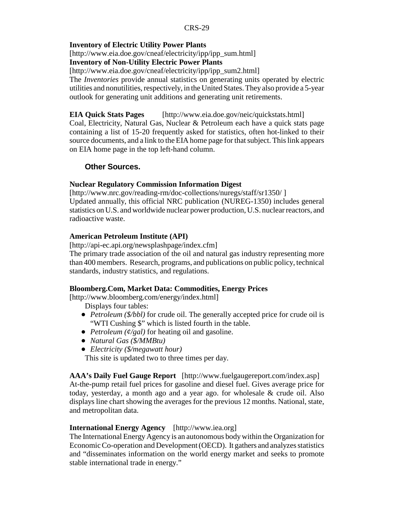#### **Inventory of Electric Utility Power Plants**

[http://www.eia.doe.gov/cneaf/electricity/ipp/ipp\_sum.html]

#### **Inventory of Non-Utility Electric Power Plants**

[http://www.eia.doe.gov/cneaf/electricity/ipp/ipp\_sum2.html]

The *Inventories* provide annual statistics on generating units operated by electric utilities and nonutilities, respectively, in the United States. They also provide a 5-year outlook for generating unit additions and generating unit retirements.

#### **EIA Quick Stats Pages** [http://www.eia.doe.gov/neic/quickstats.html]

Coal, Electricity, Natural Gas, Nuclear & Petroleum each have a quick stats page containing a list of 15-20 frequently asked for statistics, often hot-linked to their source documents, and a link to the EIA home page for that subject. This link appears on EIA home page in the top left-hand column.

#### **Other Sources.**

#### **Nuclear Regulatory Commission Information Digest**

[http://www.nrc.gov/reading-rm/doc-collections/nuregs/staff/sr1350/ ] Updated annually, this official NRC publication (NUREG-1350) includes general statistics on U.S. and worldwide nuclear power production, U.S. nuclear reactors, and radioactive waste.

#### **American Petroleum Institute (API)**

[http://api-ec.api.org/newsplashpage/index.cfm]

The primary trade association of the oil and natural gas industry representing more than 400 members. Research, programs, and publications on public policy, technical standards, industry statistics, and regulations.

#### **Bloomberg.Com, Market Data: Commodities, Energy Prices**

[http://www.bloomberg.com/energy/index.html]

Displays four tables:

- *Petroleum (\$/bbl)* for crude oil. The generally accepted price for crude oil is "WTI Cushing \$" which is listed fourth in the table.
- ! *Petroleum (¢/gal)* for heating oil and gasoline.
- ! *Natural Gas (\$/MMBtu)*
- ! *Electricity (\$/megawatt hour)*

This site is updated two to three times per day.

**AAA's Daily Fuel Gauge Report** [http://www.fuelgaugereport.com/index.asp] At-the-pump retail fuel prices for gasoline and diesel fuel. Gives average price for today, yesterday, a month ago and a year ago. for wholesale & crude oil. Also displays line chart showing the averages for the previous 12 months. National, state, and metropolitan data.

#### **International Energy Agency** [http://www.iea.org]

The International Energy Agency is an autonomous body within the Organization for Economic Co-operation and Development (OECD). It gathers and analyzes statistics and "disseminates information on the world energy market and seeks to promote stable international trade in energy."